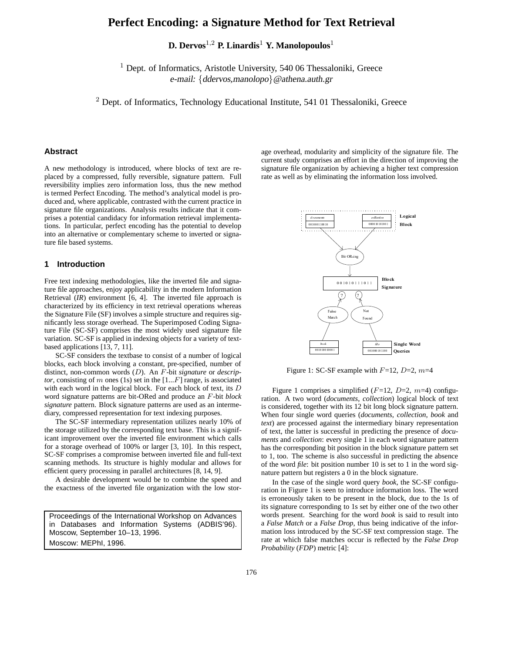# **Perfect Encoding: a Signature Method for Text Retrieval**

**D. Dervos**1,<sup>2</sup> **P. Linardis**<sup>1</sup> **Y. Manolopoulos**<sup>1</sup>

<sup>1</sup> Dept. of Informatics, Aristotle University, 540 06 Thessaloniki, Greece e-mail: {ddervos,manolopo}@athena.auth.gr

 $2$  Dept. of Informatics, Technology Educational Institute, 541 01 Thessaloniki, Greece

# **Abstract**

A new methodology is introduced, where blocks of text are replaced by a compressed, fully reversible, signature pattern. Full reversibility implies zero information loss, thus the new method is termed Perfect Encoding. The method's analytical model is produced and, where applicable, contrasted with the current practice in signature file organizations. Analysis results indicate that it comprises a potential candidacy for information retrieval implementations. In particular, perfect encoding has the potential to develop into an alternative or complementary scheme to inverted or signature file based systems.

#### **1 Introduction**

Free text indexing methodologies, like the inverted file and signature file approaches, enjoy applicability in the modern Information Retrieval (*IR*) environment [6, 4]. The inverted file approach is characterized by its efficiency in text retrieval operations whereas the Signature File (SF) involves a simple structure and requires significantly less storage overhead. The Superimposed Coding Signature File (SC-SF) comprises the most widely used signature file variation. SC-SF is applied in indexing objects for a variety of textbased applications [13, 7, 11].

SC-SF considers the textbase to consist of a number of logical blocks, each block involving a constant, pre-specified, number of distinct, non-common words (D). An F-bit *signature* or *descriptor*, consisting of m ones (1s) set in the  $[1...F]$  range, is associated with each word in the logical block. For each block of text, its D word signature patterns are bit-ORed and produce an F-bit *block signature* pattern. Block signature patterns are used as an intermediary, compressed representation for text indexing purposes.

The SC-SF intermediary representation utilizes nearly 10% of the storage utilized by the corresponding text base. This is a significant improvement over the inverted file environment which calls for a storage overhead of 100% or larger [3, 10]. In this respect, SC-SF comprises a compromise between inverted file and full-text scanning methods. Its structure is highly modular and allows for efficient query processing in parallel architectures [8, 14, 9].

A desirable development would be to combine the speed and the exactness of the inverted file organization with the low stor-

Proceedings of the International Workshop on Advances in Databases and Information Systems (ADBIS'96). Moscow, September 10–13, 1996. Moscow: MEPhI, 1996.

age overhead, modularity and simplicity of the signature file. The current study comprises an effort in the direction of improving the signature file organization by achieving a higher text compression rate as well as by eliminating the information loss involved.



Figure 1: SC-SF example with  $F=12$ ,  $D=2$ ,  $m=4$ 

Figure 1 comprises a simplified  $(F=12, D=2, m=4)$  configuration. A two word (*documents*, *collection*) logical block of text is considered, together with its 12 bit long block signature pattern. When four single word queries (*documents*, *collection*, *book* and *text*) are processed against the intermediary binary representation of text, the latter is successful in predicting the presence of *documents* and *collection*: every single 1 in each word signature pattern has the corresponding bit position in the block signature pattern set to 1, too. The scheme is also successful in predicting the absence of the word *file*: bit position number 10 is set to 1 in the word signature pattern but registers a 0 in the block signature.

In the case of the single word query *book*, the SC-SF configuration in Figure 1 is seen to introduce information loss. The word is erroneously taken to be present in the block, due to the 1s of its signature corresponding to 1s set by either one of the two other words present. Searching for the word *book* is said to result into a *False Match* or a *False Drop*, thus being indicative of the information loss introduced by the SC-SF text compression stage. The rate at which false matches occur is reflected by the *False Drop Probability* (*FDP*) metric [4]: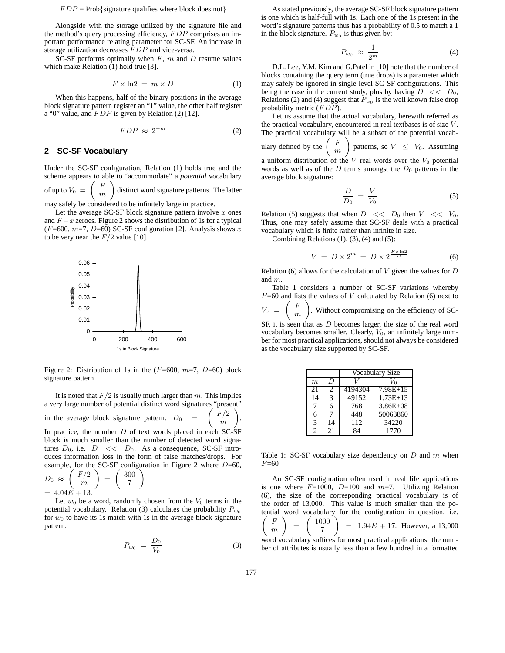#### $FDP = Prob$ {signature qualifies where block does not}

Alongside with the storage utilized by the signature file and the method's query processing efficiency, FDP comprises an important performance relating parameter for SC-SF. An increase in storage utilization decreases FDP and vice-versa.

SC-SF performs optimally when  $F$ ,  $m$  and  $D$  resume values which make Relation (1) hold true [3].

$$
F \times \ln 2 = m \times D \tag{1}
$$

When this happens, half of the binary positions in the average block signature pattern register an "1" value, the other half register a "0" value, and  $FDP$  is given by Relation (2) [12].

$$
FDP \approx 2^{-m} \tag{2}
$$

#### **2 SC-SF Vocabulary**

Under the SC-SF configuration, Relation (1) holds true and the scheme appears to able to "accommodate" a *potential* vocabulary of up to  $V_0 =$  F  $m$  $\setminus$ distinct word signature patterns. The latter

may safely be considered to be infinitely large in practice.

Let the average SC-SF block signature pattern involve  $x$  ones and  $F - x$  zeroes. Figure 2 shows the distribution of 1s for a typical (F=600, m=7, D=60) SC-SF configuration [2]. Analysis shows  $x$ to be very near the  $F/2$  value [10].



Figure 2: Distribution of 1s in the  $(F=600, m=7, D=60)$  block signature pattern

It is noted that  $F/2$  is usually much larger than m. This implies a very large number of potential distinct word signatures "present" in the average block signature pattern:  $D_0$  $F/2$ m  $\setminus$ . In practice, the number  $D$  of text words placed in each SC-SF block is much smaller than the number of detected word signatures  $D_0$ , i.e.  $D \ll D_0$ . As a consequence, SC-SF introduces information loss in the form of false matches/drops. For

example, for the SC-SF configuration in Figure 2 where 
$$
D=60
$$
,  
\n
$$
D_0 \approx \binom{F/2}{m} = \binom{300}{7}
$$
\n= 4.04E + 13.

 $= 4.04E + 13.$ <br>Let  $w_0$  be a word, randomly chosen from the  $V_0$  terms in the potential vocabulary. Relation (3) calculates the probability  $P_{w_0}$ for  $w_0$  to have its 1s match with 1s in the average block signature pattern.

$$
P_{w_0} = \frac{D_0}{V_0} \tag{3}
$$

As stated previously, the average SC-SF block signature pattern is one which is half-full with 1s. Each one of the 1s present in the word's signature patterns thus has a probability of 0.5 to match a 1 in the block signature.  $P_{w_0}$  is thus given by:

$$
P_{w_0} \approx \frac{1}{2^m}
$$
 (4)  
D.L. Lee, Y.M. Kim and G.Patel in [10] note that the number of

blocks containing the query term (true drops) is a parameter which may safely be ignored in single-level SC-SF configurations. This being the case in the current study, plus by having  $D \ll D_0$ , Relations (2) and (4) suggest that  $P_{w_0}$  is the well known false drop probability metric (FDP).

Let us assume that the actual vocabulary, herewith referred as the practical vocabulary, encountered in real textbases is of size  $V$ . The practical vocabulary will be a subset of the potential vocabulary defined by the  $\begin{pmatrix} F \end{pmatrix}$  $m$  $\setminus$ patterns, so  $V \leq V_0$ . Assuming a uniform distribution of the  $V$  real words over the  $V_0$  potential words as well as of the  $D$  terms amongst the  $D_0$  patterns in the average block signature:

$$
\frac{D}{D_0} = \frac{V}{V_0} \tag{5}
$$

Relation (5) suggests that when  $D \ll D_0$  then  $V \ll V_0$ . Thus, one may safely assume that SC-SF deals with a practical vocabulary which is finite rather than infinite in size.

Combining Relations  $(1)$ ,  $(3)$ ,  $(4)$  and  $(5)$ :

$$
V = D \times 2^{m} = D \times 2^{\frac{F \times \ln 2}{D}} \tag{6}
$$

Relation (6) allows for the calculation of  $V$  given the values for  $D$ and m.

Table 1 considers a number of SC-SF variations whereby  $F=60$  and lists the values of V calculated by Relation (6) next to  $V_0$  F m  $\setminus$ . Without compromising on the efficiency of SC-

SF, it is seen that as D becomes larger, the size of the real word vocabulary becomes smaller. Clearly,  $V_0$ , an infinitely large number for most practical applications, should not always be considered as the vocabulary size supported by SC-SF.

|       |                             | Vocabulary Size |              |  |
|-------|-----------------------------|-----------------|--------------|--|
| $\,m$ | D                           |                 |              |  |
| 21    | $\mathcal{D}_{\mathcal{L}}$ | 4194304         | $7.98E+15$   |  |
| 14    | 3                           | 49152           | $1.73E+13$   |  |
|       | 6                           | 768             | $3.86E + 08$ |  |
| 6     | 7                           | 448             | 50063860     |  |
| 3     | 14                          | 112             | 34220        |  |
| 2     | 21                          | 84              | 1770         |  |

Table 1: SC-SF vocabulary size dependency on  $D$  and  $m$  when  $F = 60$ 

An SC-SF configuration often used in real life applications is one where  $F=1000$ ,  $D=100$  and  $m=7$ . Utilizing Relation (6), the size of the corresponding practical vocabulary is of the order of 13,000. This value is much smaller than the potential word vocabulary for the configuration in question, i.e. F m  $\setminus$  $\frac{1000}{7}$ word vocabulary suffices for most practical applications: the num- $\setminus$  $= 1.94E + 17$ . However, a 13,000

ber of attributes is usually less than a few hundred in a formatted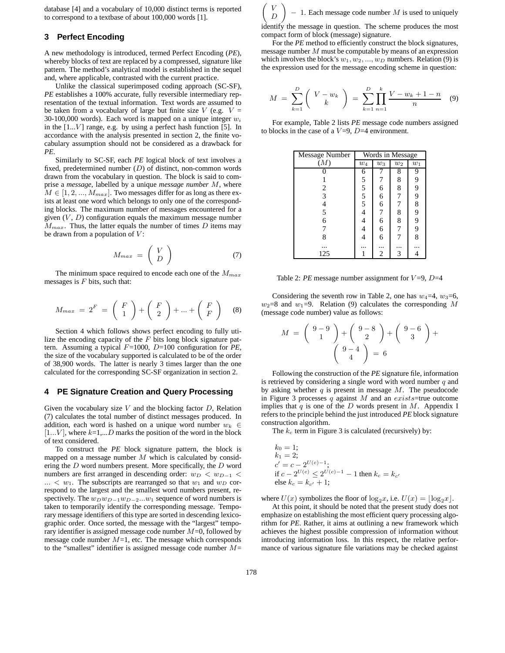database [4] and a vocabulary of 10,000 distinct terms is reported to correspond to a textbase of about 100,000 words [1].

## **3 Perfect Encoding**

A new methodology is introduced, termed Perfect Encoding (*PE*), whereby blocks of text are replaced by a compressed, signature like pattern. The method's analytical model is established in the sequel and, where applicable, contrasted with the current practice.

Unlike the classical superimposed coding approach (SC-SF), *PE* establishes a 100% accurate, fully reversible intermediary representation of the textual information. Text words are assumed to be taken from a vocabulary of large but finite size  $V$  (e.g.  $V =$ 30-100,000 words). Each word is mapped on a unique integer  $w_i$ in the  $[1...V]$  range, e.g. by using a perfect hash function [5]. In accordance with the analysis presented in section 2, the finite vocabulary assumption should not be considered as a drawback for *PE*.

Similarly to SC-SF, each *PE* logical block of text involves a fixed, predetermined number  $(D)$  of distinct, non-common words drawn from the vocabulary in question. The block is said to comprise a *message*, labelled by a unique *message number* M, where  $M \in [1, 2, ..., M_{max}]$ . Two messages differ for as long as there exists at least one word which belongs to only one of the corresponding blocks. The maximum number of messages encountered for a given  $(V, D)$  configuration equals the maximum message number  $M_{max}$ . Thus, the latter equals the number of times D items may be drawn from a population of  $V$ :

$$
M_{max} = \left(\begin{array}{c} V \\ D \end{array}\right) \tag{7}
$$

The minimum space required to encode each one of the  $M_{max}$ messages is  $F$  bits, such that:

$$
M_{max} = 2^{F} = \begin{pmatrix} F \\ 1 \end{pmatrix} + \begin{pmatrix} F \\ 2 \end{pmatrix} + ... + \begin{pmatrix} F \\ F \end{pmatrix}
$$
 (8)

Section 4 which follows shows perfect encoding to fully utilize the encoding capacity of the  $F$  bits long block signature pattern. Assuming a typical F=1000, D=100 configuration for *PE*, the size of the vocabulary supported is calculated to be of the order of 38,900 words. The latter is nearly 3 times larger than the one calculated for the corresponding SC-SF organization in section 2.

#### **4 PE Signature Creation and Query Processing**

Given the vocabulary size  $V$  and the blocking factor  $D$ , Relation (7) calculates the total number of distinct messages produced. In addition, each word is hashed on a unique word number  $w_k \in$  $[1...V]$ , where  $k=1,...D$  marks the position of the word in the block of text considered.

To construct the *PE* block signature pattern, the block is mapped on a message number  $M$  which is calculated by considering the D word numbers present. More specifically, the D word numbers are first arranged in descending order:  $w_D < w_{D-1} <$  $...$  <  $w_1$ . The subscripts are rearranged so that  $w_1$  and  $w_D$  correspond to the largest and the smallest word numbers present, respectively. The  $w_Dw_{D-1}w_{D-2}...w_1$  sequence of word numbers is taken to temporarily identify the corresponding message. Temporary message identifiers of this type are sorted in descending lexicographic order. Once sorted, the message with the "largest" temporary identifier is assigned message code number  $M=0$ , followed by message code number  $M=1$ , etc. The message which corresponds to the "smallest" identifier is assigned message code number  $M=$ 

 $\left( V\right)$ D  $\setminus$  $-1$ . Each message code number M is used to uniquely identify the message in question. The scheme produces the most compact form of block (message) signature.

For the *PE* method to efficiently construct the block signatures, message number  $M$  must be computable by means of an expression which involves the block's  $w_1, w_2, ..., w_D$  numbers. Relation (9) is the expression used for the message encoding scheme in question:

$$
M = \sum_{k=1}^{D} \binom{V - w_k}{k} = \sum_{k=1}^{D} \prod_{n=1}^{k} \frac{V - w_k + 1 - n}{n} \quad (9)
$$

For example, Table 2 lists *PE* message code numbers assigned to blocks in the case of a  $V=9$ ,  $D=4$  environment.

| Message Number           | Words in Message    |       |       |       |  |
|--------------------------|---------------------|-------|-------|-------|--|
| (M)                      | $w_4$               | $w_3$ | $w_2$ | $w_1$ |  |
|                          | 6                   |       | 8     | 9     |  |
|                          |                     |       | 8     | 9     |  |
| $\frac{2}{3}$            |                     | 6     | 8     | 9     |  |
|                          | $\frac{5}{5}$ 5 5 5 | 6     | 7     | 9     |  |
| $\overline{\mathcal{L}}$ |                     | 6     | 7     | 8     |  |
| 5                        | 4                   | 7     | 8     | 9     |  |
| 6                        |                     | 6     | 8     | 9     |  |
| 7                        |                     | 6     | 7     | 9     |  |
| 8                        |                     | 6     |       | 8     |  |
|                          |                     |       |       |       |  |
| 125                      |                     | 2     | 3     |       |  |

Table 2: *PE* message number assignment for  $V=9$ ,  $D=4$ 

Considering the seventh row in Table 2, one has  $w_4=4$ ,  $w_3=6$ ,  $w_2=8$  and  $w_1=9$ . Relation (9) calculates the corresponding M (message code number) value as follows:

$$
M = \begin{pmatrix} 9-9 \\ 1 \end{pmatrix} + \begin{pmatrix} 9-8 \\ 2 \end{pmatrix} + \begin{pmatrix} 9-6 \\ 3 \end{pmatrix} + \begin{pmatrix} 9-6 \\ 4 \end{pmatrix}
$$

Following the construction of the *PE* signature file, information is retrieved by considering a single word with word number  $q$  and by asking whether  $q$  is present in message  $M$ . The pseudocode in Figure 3 processes  $q$  against  $M$  and an exists=true outcome implies that  $q$  is one of the  $D$  words present in  $M$ . Appendix I refers to the principle behind the just introduced *PE* block signature construction algorithm.

The  $k_c$  term in Figure 3 is calculated (recursively) by:

$$
k_0 = 1;
$$
  
\n
$$
k_1 = 2;
$$
  
\n
$$
c' = c - 2^{U(c) - 1};
$$
  
\nif  $c - 2^{U(c)} \le 2^{U(c) - 1} - 1$  then  $k_c = k_{c'}$   
\nelse  $k_c = k_{c'} + 1;$ 

where  $U(x)$  symbolizes the floor of  $\log_2 x$ , i.e.  $U(x) = \lfloor \log_2 x \rfloor$ .

At this point, it should be noted that the present study does not emphasize on establishing the most efficient query processing algorithm for *PE*. Rather, it aims at outlining a new framework which achieves the highest possible compression of information without introducing information loss. In this respect, the relative performance of various signature file variations may be checked against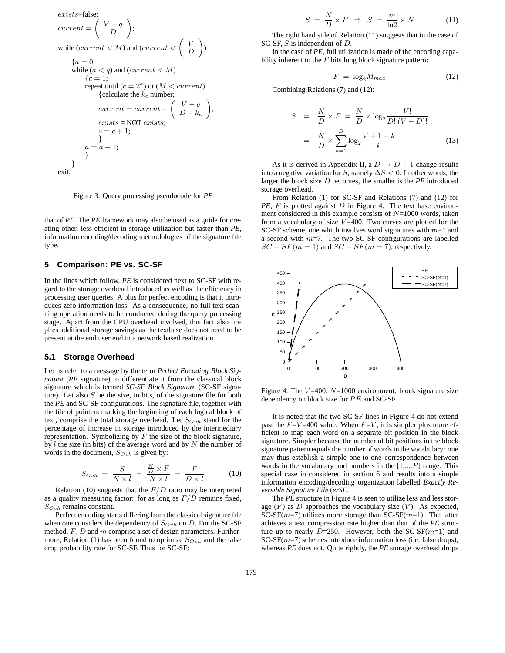$$
exists = false;
$$
\n
$$
current = \begin{pmatrix} V - q \\ D \end{pmatrix};
$$
\nwhile  $(current < M)$  and  $(current < \begin{pmatrix} V \\ D \end{pmatrix})$ \n
$$
\{a = 0;
$$
\nwhile  $(a < q)$  and  $(current < M)$ \n
$$
\{c = 1;
$$
\nrepeat until  $(c = 2^a)$  or  $(M < current)$ \n{calculate the  $k_c$  number;\n  $current = current + \begin{pmatrix} V - q \\ D - k_c \end{pmatrix};$ \n*exists = NOT exists;*\n $c = c + 1;$ \n
$$
a = a + 1;
$$
\n}

Figure 3: Query processing pseudocode for *PE*

that of *PE*. The *PE* framework may also be used as a guide for creating other, less efficient in storage utilization but faster than *PE*, information encoding/decoding methodologies of the signature file type.

## **5 Comparison: PE vs. SC-SF**

In the lines which follow, *PE* is considered next to SC-SF with regard to the storage overhead introduced as well as the efficiency in processing user queries. A plus for perfect encoding is that it introduces zero information loss. As a consequence, no full text scanning operation needs to be conducted during the query processing stage. Apart from the CPU overhead involved, this fact also implies additional storage savings as the textbase does not need to be present at the end user end in a network based realization.

## **5.1 Storage Overhead**

Let us refer to a message by the term *Perfect Encoding Block Signature* (*PE* signature) to differentiate it from the classical block signature which is termed *SC-SF Block Signature* (SC-SF signature). Let also  $S$  be the size, in bits, of the signature file for both the *PE* and SC-SF configurations. The signature file, together with the file of pointers marking the beginning of each logical block of text, comprise the total storage overhead. Let  $S_{Ovh}$  stand for the percentage of increase in storage introduced by the intermediary representation. Symbolizing by  $F$  the size of the block signature, by  $l$  the size (in bits) of the average word and by  $N$  the number of words in the document,  $S_{Ovh}$  is given by:

$$
S_{Ovh} = \frac{S}{N \times l} = \frac{\frac{N}{D} \times F}{N \times l} = \frac{F}{D \times l}
$$
 (10)

Relation (10) suggests that the  $F/D$  ratio may be interpreted as a quality measuring factor: for as long as  $F/D$  remains fixed,  $S_{Ovh}$  remains constant.

Perfect encoding starts differing from the classical signature file when one considers the dependency of  $S_{Ovh}$  on D. For the SC-SF method,  $F$ ,  $D$  and  $m$  comprise a set of design parameters. Furthermore, Relation (1) has been found to optimize  $S_{Ovh}$  and the false drop probability rate for SC-SF. Thus for SC-SF:

$$
S = \frac{N}{D} \times F \implies S = \frac{m}{\ln 2} \times N
$$
 (11)  
The right hand side of Relation (11) suggests that in the case of

SC-SF, S is independent of D.

In the case of *PE*, full utilization is made of the encoding capability inherent to the  $F$  bits long block signature pattern:

$$
F = \log_2 M_{max} \tag{12}
$$

Combining Relations (7) and (12):

$$
S = \frac{N}{D} \times F = \frac{N}{D} \times \log_2 \frac{V!}{D! (V - D)!}
$$

$$
= \frac{N}{D} \times \sum_{k=1}^{D} \log_2 \frac{V + 1 - k}{k}
$$
(13)

As it is derived in Appendix II, a  $D \rightarrow D + 1$  change results into a negative variation for S, namely  $\Delta S < 0$ . In other words, the larger the block size D becomes, the smaller is the *PE* introduced storage overhead.

From Relation (1) for SC-SF and Relations (7) and (12) for *PE*, *F* is plotted against *D* in Figure 4. The text base environment considered in this example consists of  $N=1000$  words, taken from a vocabulary of size  $V = 400$ . Two curves are plotted for the SC-SF scheme, one which involves word signatures with  $m=1$  and a second with  $m=7$ . The two SC-SF configurations are labelled  $SC - SF(m = 1)$  and  $SC - SF(m = 7)$ , respectively.



Figure 4: The  $V = 400$ ,  $N = 1000$  environment: block signature size dependency on block size for  $PE$  and  $SC-SF$ 

It is noted that the two SC-SF lines in Figure 4 do not extend past the  $F=V=400$  value. When  $F=V$ , it is simpler plus more efficient to map each word on a separate bit position in the block signature. Simpler because the number of bit positions in the block signature pattern equals the number of words in the vocabulary: one may thus establish a simple one-to-one correspondence between words in the vocabulary and numbers in the  $[1,...,F]$  range. This special case in considered in section 6 and results into a simple information encoding/decoding organization labelled *Exactly Reversible Signature File* (*erSF*.

The *PE* structure in Figure 4 is seen to utilize less and less storage  $(F)$  as  $D$  approaches the vocabulary size  $(V)$ . As expected, SC-SF( $m=7$ ) utilizes more storage than SC-SF( $m=1$ ). The latter achieves a text compression rate higher than that of the *PE* structure up to nearly  $D=250$ . However, both the SC-SF( $m=1$ ) and  $SC-SF(m=7)$  schemes introduce information loss (i.e. false drops), whereas *PE* does not. Quite rightly, the *PE* storage overhead drops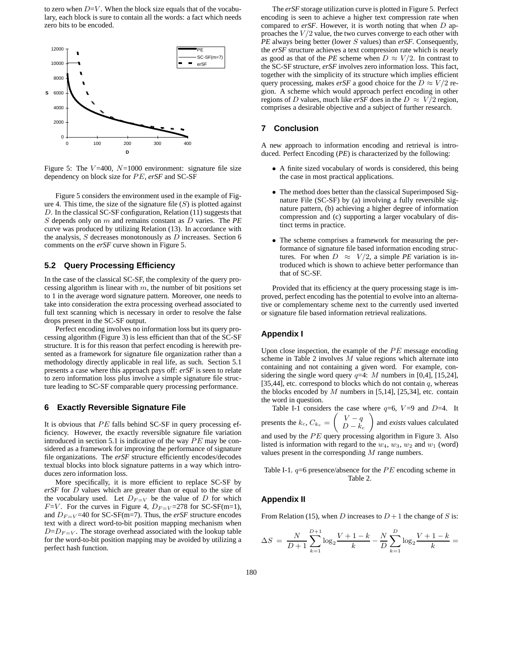to zero when  $D=V$ . When the block size equals that of the vocabulary, each block is sure to contain all the words: a fact which needs zero bits to be encoded.



Figure 5: The  $V=400$ ,  $N=1000$  environment: signature file size dependency on block size for PE, erSF and SC-SF

Figure 5 considers the environment used in the example of Figure 4. This time, the size of the signature file  $(S)$  is plotted against D. In the classical SC-SF configuration, Relation (11) suggests that S depends only on m and remains constant as D varies. The *PE* curve was produced by utilizing Relation (13). In accordance with the analysis,  $S$  decreases monotonously as  $D$  increases. Section 6 comments on the *erSF* curve shown in Figure 5.

#### **5.2 Query Processing Efficiency**

In the case of the classical SC-SF, the complexity of the query processing algorithm is linear with  $m$ , the number of bit positions set to 1 in the average word signature pattern. Moreover, one needs to take into consideration the extra processing overhead associated to full text scanning which is necessary in order to resolve the false drops present in the SC-SF output.

Perfect encoding involves no information loss but its query processing algorithm (Figure 3) is less efficient than that of the SC-SF structure. It is for this reason that perfect encoding is herewith presented as a framework for signature file organization rather than a methodology directly applicable in real life, as such. Section 5.1 presents a case where this approach pays off: *erSF* is seen to relate to zero information loss plus involve a simple signature file structure leading to SC-SF comparable query processing performance.

# **6 Exactly Reversible Signature File**

It is obvious that  $PE$  falls behind SC-SF in query processing efficiency. However, the exactly reversible signature file variation introduced in section 5.1 is indicative of the way  $PE$  may be considered as a framework for improving the performance of signature file organizations. The *erSF* structure efficiently encodes/decodes textual blocks into block signature patterns in a way which introduces zero information loss.

More specifically, it is more efficient to replace SC-SF by *erSF* for D values which are greater than or equal to the size of the vocabulary used. Let  $D_{F=V}$  be the value of D for which  $F=V$ . For the curves in Figure 4,  $D_{F=V}=278$  for SC-SF(m=1), and  $D_{F=V}$ =40 for SC-SF(m=7). Thus, the *erSF* structure encodes text with a direct word-to-bit position mapping mechanism when  $D=D_{F=V}$ . The storage overhead associated with the lookup table for the word-to-bit position mapping may be avoided by utilizing a perfect hash function.

The *erSF* storage utilization curve is plotted in Figure 5. Perfect encoding is seen to achieve a higher text compression rate when compared to erSF. However, it is worth noting that when D approaches the  $V/2$  value, the two curves converge to each other with *PE* always being better (lower S values) than *erSF*. Consequently, the *erSF* structure achieves a text compression rate which is nearly as good as that of the *PE* scheme when  $D \approx V/2$ . In contrast to the SC-SF structure, *erSF* involves zero information loss. This fact, together with the simplicity of its structure which implies efficient query processing, makes *erSF* a good choice for the  $D \approx V/2$  region. A scheme which would approach perfect encoding in other regions of D values, much like *erSF* does in the  $D \approx V/2$  region, comprises a desirable objective and a subject of further research.

# **7 Conclusion**

A new approach to information encoding and retrieval is introduced. Perfect Encoding (*PE*) is characterized by the following:

- A finite sized vocabulary of words is considered, this being the case in most practical applications.
- The method does better than the classical Superimposed Signature File (SC-SF) by (a) involving a fully reversible signature pattern, (b) achieving a higher degree of information compression and (c) supporting a larger vocabulary of distinct terms in practice.
- The scheme comprises a framework for measuring the performance of signature file based information encoding structures. For when  $D \approx V/2$ , a simple *PE* variation is introduced which is shown to achieve better performance than that of SC-SF.

Provided that its efficiency at the query processing stage is improved, perfect encoding has the potential to evolve into an alternative or complementary scheme next to the currently used inverted or signature file based information retrieval realizations.

### **Appendix I**

Upon close inspection, the example of the  $PE$  message encoding scheme in Table 2 involves  $M$  value regions which alternate into containing and not containing a given word. For example, considering the single word query  $q=4$ : M numbers in [0,4], [15,24], [35,44], etc. correspond to blocks which do not contain  $q$ , whereas the blocks encoded by  $M$  numbers in [5,14], [25,34], etc. contain the word in question.

Table I-1 considers the case where  $q=6$ ,  $V=9$  and  $D=4$ . It presents the  $k_c$ ,  $C_{k_c} = \begin{pmatrix} V-q \\ D-k_c \end{pmatrix}$  $D - k_c$  and *exists* values calculated and used by the  $PE$  query processing algorithm in Figure 3. Also listed is information with regard to the  $w_4$ ,  $w_3$ ,  $w_2$  and  $w_1$  (word) values present in the corresponding M range numbers.

Table I-1.  $q=6$  presence/absence for the  $PE$  encoding scheme in Table 2.

# **Appendix II**

From Relation (15), when D increases to  $D+1$  the change of S is:

$$
\Delta S = \frac{N}{D+1} \sum_{k=1}^{D+1} \log_2 \frac{V+1-k}{k} - \frac{N}{D} \sum_{k=1}^{D} \log_2 \frac{V+1-k}{k} =
$$